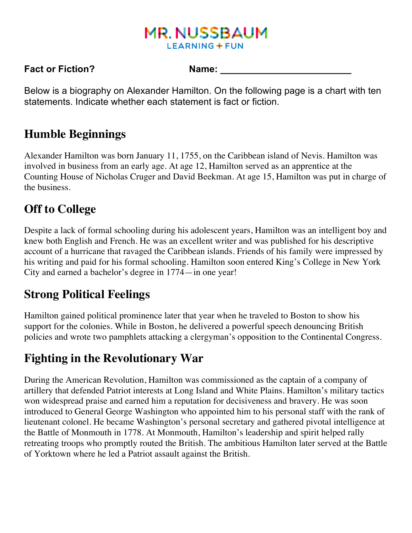## **MR. NUSSBAUM LEARNING + FUN**

#### **Fact or Fiction?** Name:

Below is a biography on Alexander Hamilton. On the following page is a chart with ten statements. Indicate whether each statement is fact or fiction.

#### **Humble Beginnings**

Alexander Hamilton was born January 11, 1755, on the Caribbean island of Nevis. Hamilton was involved in business from an early age. At age 12, Hamilton served as an apprentice at the Counting House of Nicholas Cruger and David Beekman. At age 15, Hamilton was put in charge of the business.

# **Off to College**

Despite a lack of formal schooling during his adolescent years, Hamilton was an intelligent boy and knew both English and French. He was an excellent writer and was published for his descriptive account of a hurricane that ravaged the Caribbean islands. Friends of his family were impressed by his writing and paid for his formal schooling. Hamilton soon entered King's College in New York City and earned a bachelor's degree in 1774—in one year!

## **Strong Political Feelings**

Hamilton gained political prominence later that year when he traveled to Boston to show his support for the colonies. While in Boston, he delivered a powerful speech denouncing British policies and wrote two pamphlets attacking a clergyman's opposition to the Continental Congress.

### **Fighting in the Revolutionary War**

During the American Revolution, Hamilton was commissioned as the captain of a company of artillery that defended Patriot interests at Long Island and White Plains. Hamilton's military tactics won widespread praise and earned him a reputation for decisiveness and bravery. He was soon introduced to General George Washington who appointed him to his personal staff with the rank of lieutenant colonel. He became Washington's personal secretary and gathered pivotal intelligence at the Battle of Monmouth in 1778. At Monmouth, Hamilton's leadership and spirit helped rally retreating troops who promptly routed the British. The ambitious Hamilton later served at the Battle of Yorktown where he led a Patriot assault against the British.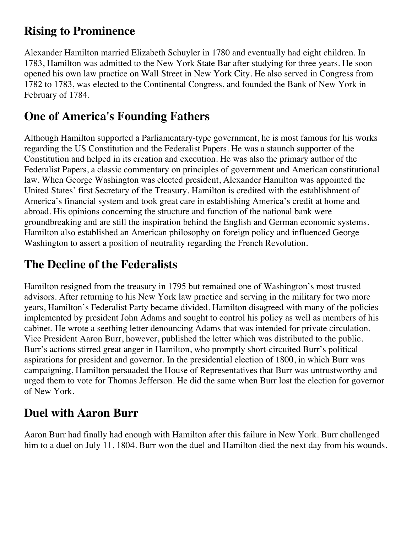### **Rising to Prominence**

Alexander Hamilton married Elizabeth Schuyler in 1780 and eventually had eight children. In 1783, Hamilton was admitted to the New York State Bar after studying for three years. He soon opened his own law practice on Wall Street in New York City. He also served in Congress from 1782 to 1783, was elected to the Continental Congress, and founded the Bank of New York in February of 1784.

## **One of America's Founding Fathers**

Although Hamilton supported a Parliamentary-type government, he is most famous for his works regarding the US Constitution and the Federalist Papers. He was a staunch supporter of the Constitution and helped in its creation and execution. He was also the primary author of the Federalist Papers, a classic commentary on principles of government and American constitutional law. When George Washington was elected president, Alexander Hamilton was appointed the United States' first Secretary of the Treasury. Hamilton is credited with the establishment of America's financial system and took great care in establishing America's credit at home and abroad. His opinions concerning the structure and function of the national bank were groundbreaking and are still the inspiration behind the English and German economic systems. Hamilton also established an American philosophy on foreign policy and influenced George Washington to assert a position of neutrality regarding the French Revolution.

# **The Decline of the Federalists**

Hamilton resigned from the treasury in 1795 but remained one of Washington's most trusted advisors. After returning to his New York law practice and serving in the military for two more years, Hamilton's Federalist Party became divided. Hamilton disagreed with many of the policies implemented by president John Adams and sought to control his policy as well as members of his cabinet. He wrote a seething letter denouncing Adams that was intended for private circulation. Vice President Aaron Burr, however, published the letter which was distributed to the public. Burr's actions stirred great anger in Hamilton, who promptly short-circuited Burr's political aspirations for president and governor. In the presidential election of 1800, in which Burr was campaigning, Hamilton persuaded the House of Representatives that Burr was untrustworthy and urged them to vote for Thomas Jefferson. He did the same when Burr lost the election for governor of New York.

# **Duel with Aaron Burr**

Aaron Burr had finally had enough with Hamilton after this failure in New York. Burr challenged him to a duel on July 11, 1804. Burr won the duel and Hamilton died the next day from his wounds.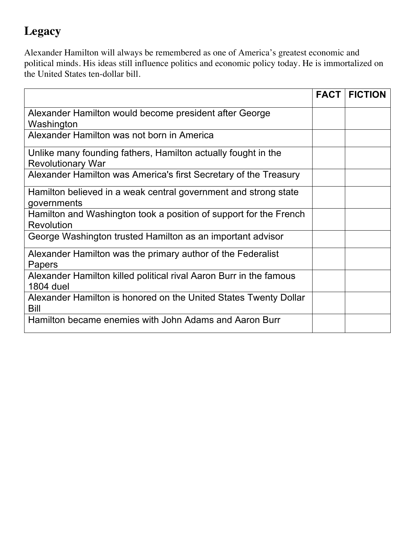## **Legacy**

Alexander Hamilton will always be remembered as one of America's greatest economic and political minds. His ideas still influence politics and economic policy today. He is immortalized on the United States ten-dollar bill.

|                                                                                           | <b>FACT</b> | <b>FICTION</b> |
|-------------------------------------------------------------------------------------------|-------------|----------------|
| Alexander Hamilton would become president after George<br>Washington                      |             |                |
| Alexander Hamilton was not born in America                                                |             |                |
| Unlike many founding fathers, Hamilton actually fought in the<br><b>Revolutionary War</b> |             |                |
| Alexander Hamilton was America's first Secretary of the Treasury                          |             |                |
| Hamilton believed in a weak central government and strong state<br>governments            |             |                |
| Hamilton and Washington took a position of support for the French<br><b>Revolution</b>    |             |                |
| George Washington trusted Hamilton as an important advisor                                |             |                |
| Alexander Hamilton was the primary author of the Federalist<br>Papers                     |             |                |
| Alexander Hamilton killed political rival Aaron Burr in the famous<br><b>1804 duel</b>    |             |                |
| Alexander Hamilton is honored on the United States Twenty Dollar<br>Bill                  |             |                |
| Hamilton became enemies with John Adams and Aaron Burr                                    |             |                |